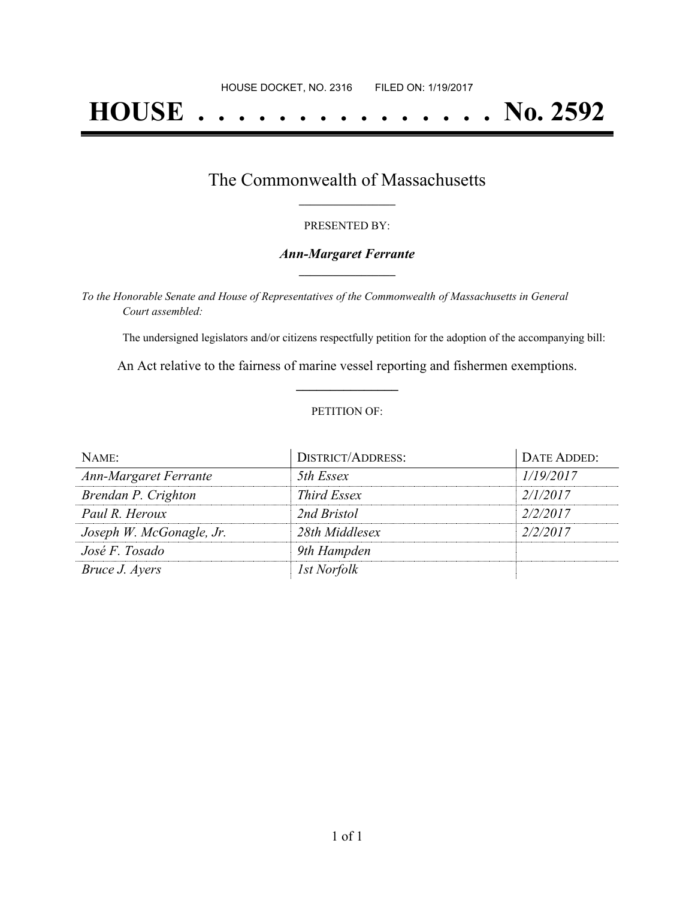# **HOUSE . . . . . . . . . . . . . . . No. 2592**

### The Commonwealth of Massachusetts **\_\_\_\_\_\_\_\_\_\_\_\_\_\_\_\_\_**

#### PRESENTED BY:

#### *Ann-Margaret Ferrante* **\_\_\_\_\_\_\_\_\_\_\_\_\_\_\_\_\_**

*To the Honorable Senate and House of Representatives of the Commonwealth of Massachusetts in General Court assembled:*

The undersigned legislators and/or citizens respectfully petition for the adoption of the accompanying bill:

An Act relative to the fairness of marine vessel reporting and fishermen exemptions. **\_\_\_\_\_\_\_\_\_\_\_\_\_\_\_**

#### PETITION OF:

| NAME:                        | <b>DISTRICT/ADDRESS:</b> | DATE ADDED: |
|------------------------------|--------------------------|-------------|
| <b>Ann-Margaret Ferrante</b> | 5th Essex                | 1/19/2017   |
| Brendan P. Crighton          | <i>Third Essex</i>       | 2/1/2017    |
| Paul R. Heroux               | 2nd Bristol              | 2/2/2017    |
| Joseph W. McGonagle, Jr.     | 28th Middlesex           | 2/2/2017    |
| José F. Tosado               | 9th Hampden              |             |
| Bruce J. Ayers               | <i>Ist Norfolk</i>       |             |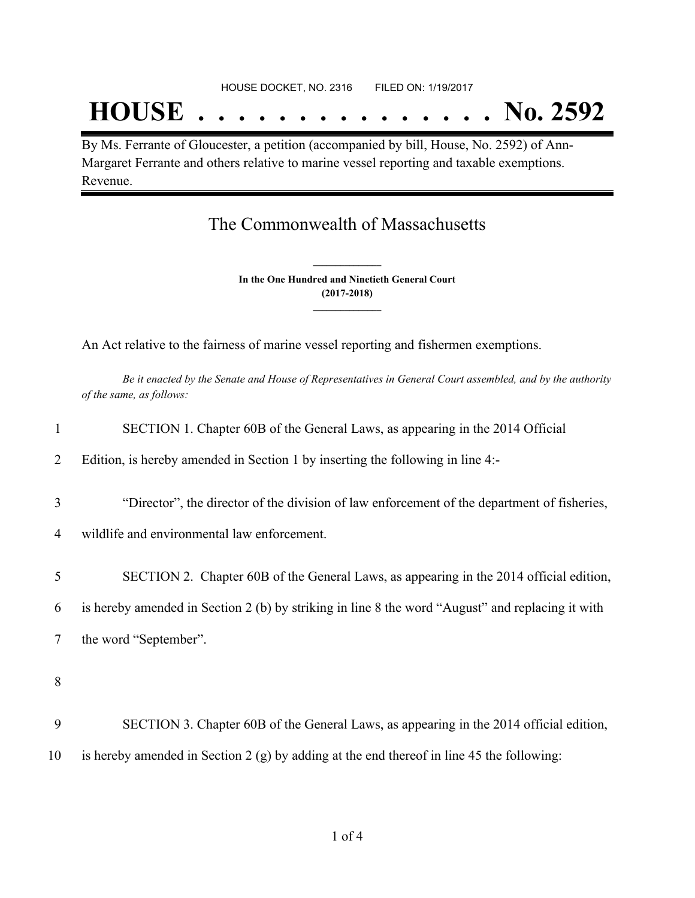## **HOUSE . . . . . . . . . . . . . . . No. 2592**

By Ms. Ferrante of Gloucester, a petition (accompanied by bill, House, No. 2592) of Ann-Margaret Ferrante and others relative to marine vessel reporting and taxable exemptions. Revenue.

## The Commonwealth of Massachusetts

**In the One Hundred and Ninetieth General Court (2017-2018) \_\_\_\_\_\_\_\_\_\_\_\_\_\_\_**

**\_\_\_\_\_\_\_\_\_\_\_\_\_\_\_**

An Act relative to the fairness of marine vessel reporting and fishermen exemptions.

Be it enacted by the Senate and House of Representatives in General Court assembled, and by the authority *of the same, as follows:*

| $\mathbf{1}$   | SECTION 1. Chapter 60B of the General Laws, as appearing in the 2014 Official                    |
|----------------|--------------------------------------------------------------------------------------------------|
| $\overline{2}$ | Edition, is hereby amended in Section 1 by inserting the following in line 4:-                   |
| 3              | "Director", the director of the division of law enforcement of the department of fisheries,      |
| 4              | wildlife and environmental law enforcement.                                                      |
| 5              | SECTION 2. Chapter 60B of the General Laws, as appearing in the 2014 official edition,           |
| 6              | is hereby amended in Section 2 (b) by striking in line 8 the word "August" and replacing it with |
| 7              | the word "September".                                                                            |
| 8              |                                                                                                  |
| 9              | SECTION 3. Chapter 60B of the General Laws, as appearing in the 2014 official edition,           |

10 is hereby amended in Section 2 (g) by adding at the end thereof in line 45 the following: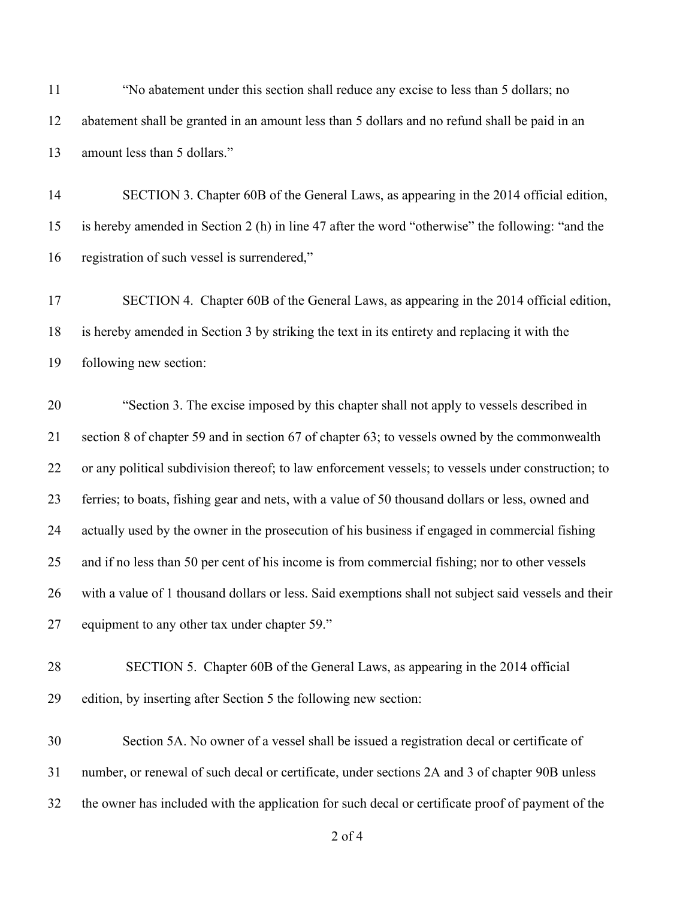"No abatement under this section shall reduce any excise to less than 5 dollars; no abatement shall be granted in an amount less than 5 dollars and no refund shall be paid in an amount less than 5 dollars."

 SECTION 3. Chapter 60B of the General Laws, as appearing in the 2014 official edition, is hereby amended in Section 2 (h) in line 47 after the word "otherwise" the following: "and the registration of such vessel is surrendered,"

 SECTION 4. Chapter 60B of the General Laws, as appearing in the 2014 official edition, is hereby amended in Section 3 by striking the text in its entirety and replacing it with the following new section:

 "Section 3. The excise imposed by this chapter shall not apply to vessels described in section 8 of chapter 59 and in section 67 of chapter 63; to vessels owned by the commonwealth or any political subdivision thereof; to law enforcement vessels; to vessels under construction; to ferries; to boats, fishing gear and nets, with a value of 50 thousand dollars or less, owned and actually used by the owner in the prosecution of his business if engaged in commercial fishing and if no less than 50 per cent of his income is from commercial fishing; nor to other vessels with a value of 1 thousand dollars or less. Said exemptions shall not subject said vessels and their equipment to any other tax under chapter 59."

 SECTION 5. Chapter 60B of the General Laws, as appearing in the 2014 official edition, by inserting after Section 5 the following new section:

 Section 5A. No owner of a vessel shall be issued a registration decal or certificate of number, or renewal of such decal or certificate, under sections 2A and 3 of chapter 90B unless the owner has included with the application for such decal or certificate proof of payment of the

of 4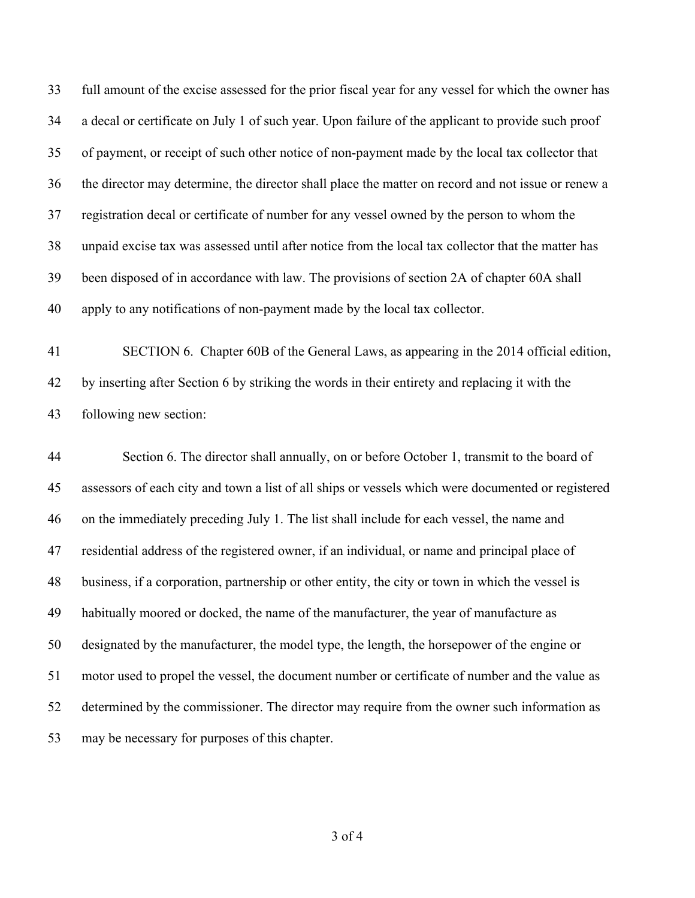full amount of the excise assessed for the prior fiscal year for any vessel for which the owner has a decal or certificate on July 1 of such year. Upon failure of the applicant to provide such proof of payment, or receipt of such other notice of non-payment made by the local tax collector that the director may determine, the director shall place the matter on record and not issue or renew a registration decal or certificate of number for any vessel owned by the person to whom the unpaid excise tax was assessed until after notice from the local tax collector that the matter has been disposed of in accordance with law. The provisions of section 2A of chapter 60A shall apply to any notifications of non-payment made by the local tax collector.

 SECTION 6. Chapter 60B of the General Laws, as appearing in the 2014 official edition, by inserting after Section 6 by striking the words in their entirety and replacing it with the following new section:

 Section 6. The director shall annually, on or before October 1, transmit to the board of assessors of each city and town a list of all ships or vessels which were documented or registered on the immediately preceding July 1. The list shall include for each vessel, the name and residential address of the registered owner, if an individual, or name and principal place of business, if a corporation, partnership or other entity, the city or town in which the vessel is habitually moored or docked, the name of the manufacturer, the year of manufacture as designated by the manufacturer, the model type, the length, the horsepower of the engine or motor used to propel the vessel, the document number or certificate of number and the value as determined by the commissioner. The director may require from the owner such information as may be necessary for purposes of this chapter.

of 4